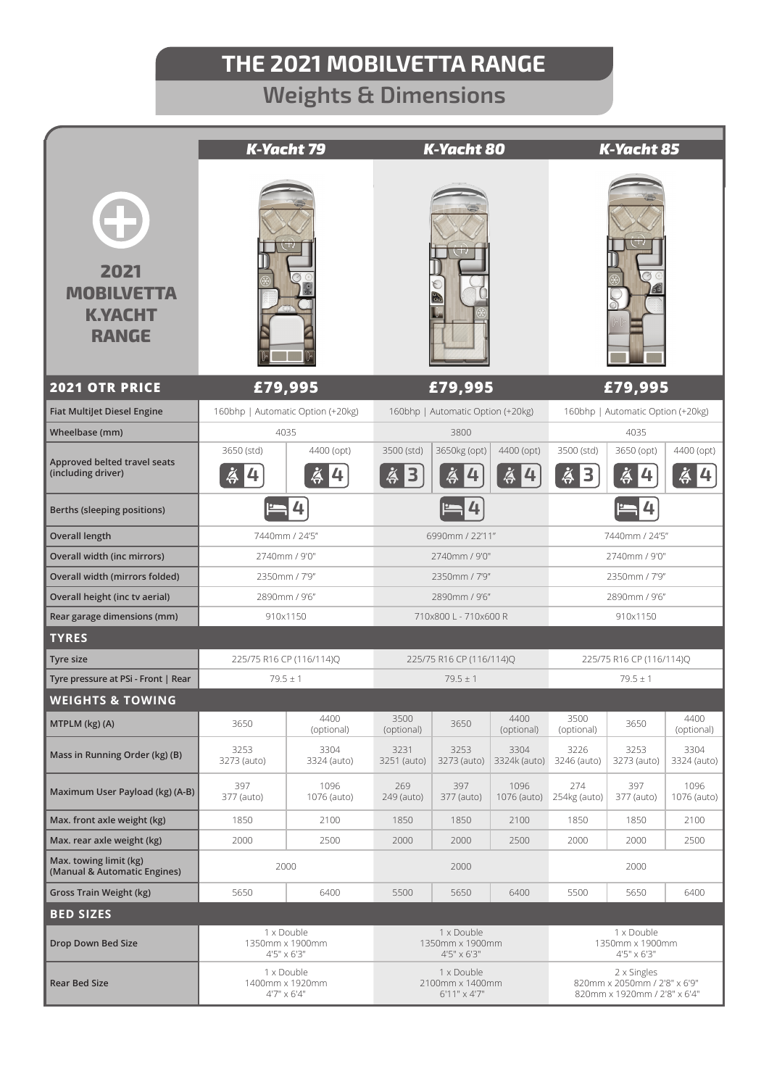# **Weights & Dimensions**

|                                                             |                                              | <b>K-Yacht 79</b>                                      |                                              | <b>K-Yacht 80</b>   |                                                                             | <b>K-Yacht 85</b>                              |                      |                     |  |
|-------------------------------------------------------------|----------------------------------------------|--------------------------------------------------------|----------------------------------------------|---------------------|-----------------------------------------------------------------------------|------------------------------------------------|----------------------|---------------------|--|
| 2021<br><b>MOBILVETTA</b><br><b>K.YACHT</b><br><b>RANGE</b> |                                              |                                                        |                                              |                     |                                                                             |                                                |                      |                     |  |
| <b>2021 OTR PRICE</b>                                       | £79,995                                      |                                                        | £79,995                                      |                     |                                                                             | £79,995                                        |                      |                     |  |
| <b>Fiat MultiJet Diesel Engine</b>                          | 160bhp   Automatic Option (+20kg)            |                                                        | 160bhp   Automatic Option (+20kg)            |                     |                                                                             | 160bhp   Automatic Option (+20kg)              |                      |                     |  |
| Wheelbase (mm)                                              | 4035                                         |                                                        | 3800                                         |                     |                                                                             | 4035                                           |                      |                     |  |
| Approved belted travel seats<br>(including driver)          | 3650 (std)<br>$\ddot{\hat{\sigma}}$<br> 4    | 4400 (opt)<br>ä<br>14                                  | 3500 (std)<br>$\AA$<br>3                     | 3650kg (opt)        | 4400 (opt)<br>為<br>4                                                        | 3500 (std)<br>$\breve{\mathbf{\hat{A}}}$<br>13 | 3650 (opt)<br>ä<br>4 | 4400 (opt)<br>ä     |  |
| Berths (sleeping positions)                                 |                                              |                                                        |                                              |                     |                                                                             |                                                |                      |                     |  |
| <b>Overall length</b>                                       | 7440mm / 24'5"                               |                                                        |                                              | 6990mm / 22'11"     |                                                                             |                                                | 7440mm / 24'5"       |                     |  |
| Overall width (inc mirrors)                                 | 2740mm / 9'0"                                |                                                        | 2740mm / 9'0"                                |                     |                                                                             | 2740mm / 9'0"                                  |                      |                     |  |
| Overall width (mirrors folded)                              | 2350mm / 7'9"                                |                                                        | 2350mm / 7'9"                                |                     |                                                                             | 2350mm / 7'9"                                  |                      |                     |  |
| Overall height (inc tv aerial)                              | 2890mm / 9'6"                                |                                                        | 2890mm / 9'6"                                |                     |                                                                             | 2890mm / 9'6"                                  |                      |                     |  |
| Rear garage dimensions (mm)                                 | 910x1150                                     |                                                        | 710x800 L - 710x600 R                        |                     |                                                                             | 910x1150                                       |                      |                     |  |
| <b>TYRES</b>                                                |                                              |                                                        |                                              |                     |                                                                             |                                                |                      |                     |  |
| Tyre size                                                   | 225/75 R16 CP (116/114)Q                     |                                                        | 225/75 R16 CP (116/114)Q                     |                     |                                                                             | 225/75 R16 CP (116/114)Q                       |                      |                     |  |
| Tyre pressure at PSi - Front   Rear                         | $79.5 \pm 1$                                 |                                                        | $79.5 \pm 1$                                 |                     |                                                                             | $79.5 \pm 1$                                   |                      |                     |  |
| <b>WEIGHTS &amp; TOWING</b>                                 |                                              |                                                        |                                              |                     |                                                                             |                                                |                      |                     |  |
| MTPLM (kg) (A)                                              | 3650                                         | 4400<br>(optional)                                     | 3500<br>(optional)                           | 3650                | 4400<br>(optional)                                                          | 3500<br>(optional)                             | 3650                 | 4400<br>(optional)  |  |
| Mass in Running Order (kg) (B)                              | 3253<br>3273 (auto)                          | 3304<br>3324 (auto)                                    | 3231<br>3251 (auto)                          | 3253<br>3273 (auto) | 3304<br>3324k (auto)                                                        | 3226<br>3246 (auto)                            | 3253<br>3273 (auto)  | 3304<br>3324 (auto) |  |
| Maximum User Payload (kg) (A-B)                             | 397<br>377 (auto)                            | 1096<br>1076 (auto)                                    | 269<br>249 (auto)                            | 397<br>377 (auto)   | 1096<br>1076 (auto)                                                         | 274<br>254kg (auto)                            | 397<br>377 (auto)    | 1096<br>1076 (auto) |  |
| Max. front axle weight (kg)                                 | 1850                                         | 2100                                                   | 1850                                         | 1850                | 2100                                                                        | 1850                                           | 1850                 | 2100                |  |
| Max. rear axle weight (kg)                                  | 2000                                         | 2500                                                   | 2000                                         | 2000                | 2500                                                                        | 2000                                           | 2000                 | 2500                |  |
| Max. towing limit (kg)<br>(Manual & Automatic Engines)      | 2000                                         |                                                        | 2000                                         |                     |                                                                             | 2000                                           |                      |                     |  |
| Gross Train Weight (kg)                                     | 5650                                         | 6400                                                   | 5500                                         | 5650                | 6400                                                                        | 5500                                           | 5650                 | 6400                |  |
| <b>BED SIZES</b>                                            |                                              |                                                        |                                              |                     |                                                                             |                                                |                      |                     |  |
| Drop Down Bed Size                                          | 1 x Double<br>1350mm x 1900mm<br>4'5" x 6'3" |                                                        | 1 x Double<br>1350mm x 1900mm<br>4'5" x 6'3" |                     |                                                                             | 1 x Double<br>1350mm x 1900mm<br>4'5" x 6'3"   |                      |                     |  |
| <b>Rear Bed Size</b>                                        | 1 x Double<br>1400mm x 1920mm<br>4'7" x 6'4" | 1 x Double<br>2100mm x 1400mm<br>$6'11'' \times 4'7''$ |                                              |                     | 2 x Singles<br>820mm x 2050mm / 2'8" x 6'9"<br>820mm x 1920mm / 2'8" x 6'4" |                                                |                      |                     |  |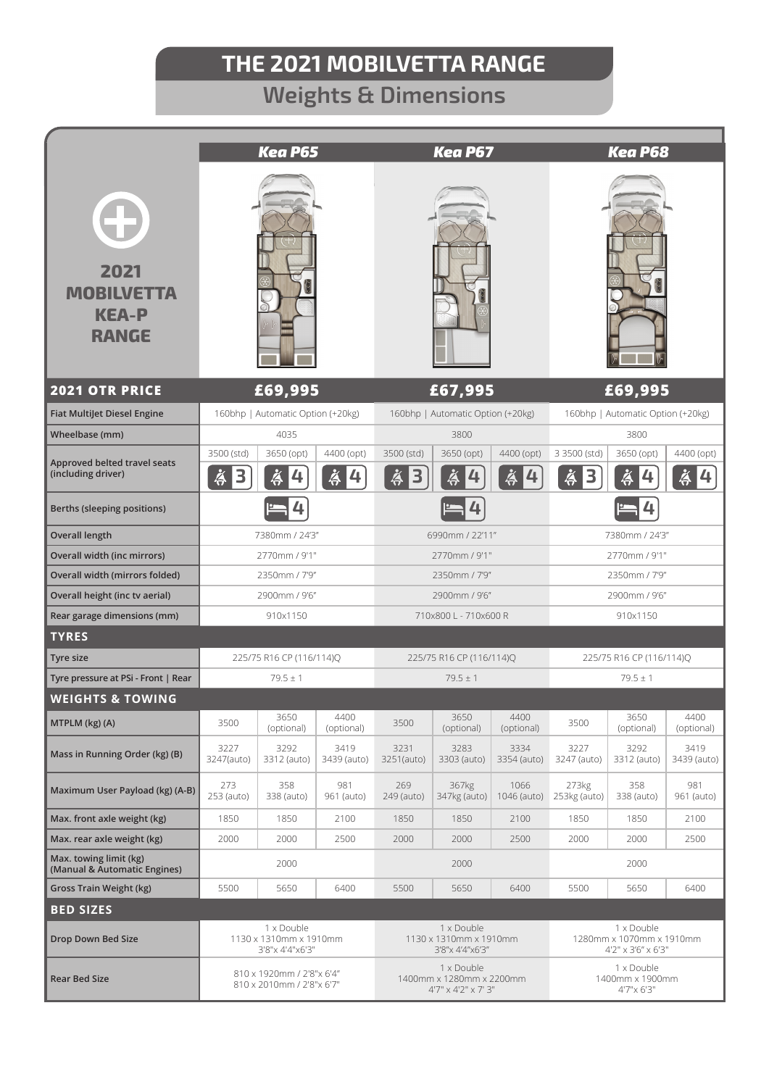# **Weights & Dimensions**

|                                                           | <b>Kea P65</b>                                          |                                   |                      | <b>Kea P67</b>                                                |                       |                      | <b>Kea P68</b>                                                        |                      |                     |
|-----------------------------------------------------------|---------------------------------------------------------|-----------------------------------|----------------------|---------------------------------------------------------------|-----------------------|----------------------|-----------------------------------------------------------------------|----------------------|---------------------|
| 2021<br><b>MOBILVETTA</b><br><b>KEA-P</b><br><b>RANGE</b> |                                                         |                                   |                      |                                                               |                       |                      |                                                                       |                      |                     |
| <b>2021 OTR PRICE</b>                                     | £69,995                                                 |                                   |                      | £67,995                                                       |                       |                      | £69,995                                                               |                      |                     |
| <b>Fiat MultiJet Diesel Engine</b>                        | 160bhp   Automatic Option (+20kg)                       |                                   |                      | 160bhp   Automatic Option (+20kg)                             |                       |                      | 160bhp   Automatic Option (+20kg)                                     |                      |                     |
| Wheelbase (mm)                                            | 4035                                                    |                                   |                      | 3800                                                          |                       |                      | 3800                                                                  |                      |                     |
| Approved belted travel seats<br>(including driver)        | 3500 (std)<br>$\breve{\mathbf{\hat{A}}}$<br>3           | 3650 (opt)<br>ä<br>$\overline{4}$ | 4400 (opt)<br>å<br>4 | 3500 (std)<br>Ă<br>3                                          | 3650 (opt)            | 4400 (opt)<br>為<br>4 | 3 3500 (std)<br>$\breve{\mathbf{\hat{A}}}$<br>$\overline{\mathbf{3}}$ | 3650 (opt)<br>ä<br>4 | 4400 (opt)<br>ä     |
| Berths (sleeping positions)                               | 4                                                       |                                   |                      |                                                               |                       |                      | 4                                                                     |                      |                     |
| <b>Overall length</b>                                     | 7380mm / 24'3"                                          |                                   |                      | 6990mm / 22'11"                                               |                       |                      | 7380mm / 24'3"                                                        |                      |                     |
| Overall width (inc mirrors)                               | 2770mm / 9'1"                                           |                                   |                      | 2770mm / 9'1"                                                 |                       |                      | 2770mm / 9'1"                                                         |                      |                     |
| Overall width (mirrors folded)                            | 2350mm / 7'9"                                           |                                   |                      | 2350mm / 7'9"                                                 |                       |                      | 2350mm / 7'9"                                                         |                      |                     |
| Overall height (inc tv aerial)                            | 2900mm / 9'6"                                           |                                   |                      | 2900mm / 9'6"                                                 |                       |                      | 2900mm / 9'6"                                                         |                      |                     |
| Rear garage dimensions (mm)<br><b>TYRES</b>               | 910x1150                                                |                                   |                      | 710x800 L - 710x600 R                                         |                       |                      | 910x1150                                                              |                      |                     |
| Tyre size                                                 | 225/75 R16 CP (116/114)Q                                |                                   |                      | 225/75 R16 CP (116/114)Q                                      |                       |                      | 225/75 R16 CP (116/114)Q                                              |                      |                     |
| Tyre pressure at PSi - Front   Rear                       | $79.5 \pm 1$                                            |                                   |                      | $79.5 \pm 1$                                                  |                       |                      | $79.5 \pm 1$                                                          |                      |                     |
| <b>WEIGHTS &amp; TOWING</b>                               |                                                         |                                   |                      |                                                               |                       |                      |                                                                       |                      |                     |
| MTPLM (kg) (A)                                            | 3500                                                    | 3650<br>(optional)                | 4400<br>(optional)   | 3500                                                          | 3650<br>(optional)    | 4400<br>(optional)   | 3500                                                                  | 3650<br>(optional)   | 4400<br>(optional)  |
| Mass in Running Order (kg) (B)                            | 3227<br>3247(auto)                                      | 3292<br>3312 (auto)               | 3419<br>3439 (auto)  | 3231<br>3251(auto)                                            | 3283<br>3303 (auto)   | 3334<br>3354 (auto)  | 3227<br>3247 (auto)                                                   | 3292<br>3312 (auto)  | 3419<br>3439 (auto) |
| Maximum User Payload (kg) (A-B)                           | 273<br>253 (auto)                                       | 358<br>338 (auto)                 | 981<br>961 (auto)    | 269<br>249 (auto)                                             | 367kg<br>347kg (auto) | 1066<br>1046 (auto)  | 273kg<br>253kg (auto)                                                 | 358<br>338 (auto)    | 981<br>961 (auto)   |
| Max. front axle weight (kg)                               | 1850                                                    | 1850                              | 2100                 | 1850                                                          | 1850                  | 2100                 | 1850                                                                  | 1850                 | 2100                |
| Max. rear axle weight (kg)                                | 2000                                                    | 2000                              | 2500                 | 2000                                                          | 2000                  | 2500                 | 2000                                                                  | 2000                 | 2500                |
| Max. towing limit (kg)<br>(Manual & Automatic Engines)    | 2000                                                    |                                   | 2000                 |                                                               |                       | 2000                 |                                                                       |                      |                     |
| Gross Train Weight (kg)                                   | 5500                                                    | 5650                              | 6400                 | 5500                                                          | 5650                  | 6400                 | 5500                                                                  | 5650                 | 6400                |
| <b>BED SIZES</b>                                          |                                                         |                                   |                      |                                                               |                       |                      |                                                                       |                      |                     |
| Drop Down Bed Size                                        | 1 x Double<br>1130 x 1310mm x 1910mm<br>3'8"x 4'4"x6'3" |                                   |                      | 1 x Double<br>1130 x 1310mm x 1910mm<br>3'8"x 4'4"x6'3"       |                       |                      | 1 x Double<br>1280mm x 1070mm x 1910mm<br>4'2" x 3'6" x 6'3"          |                      |                     |
| <b>Rear Bed Size</b>                                      | 810 x 1920mm / 2'8"x 6'4"<br>810 x 2010mm / 2'8"x 6'7"  |                                   |                      | 1 x Double<br>1400mm x 1280mm x 2200mm<br>4'7" x 4'2" x 7' 3" |                       |                      | 1 x Double<br>1400mm x 1900mm<br>4'7"x 6'3"                           |                      |                     |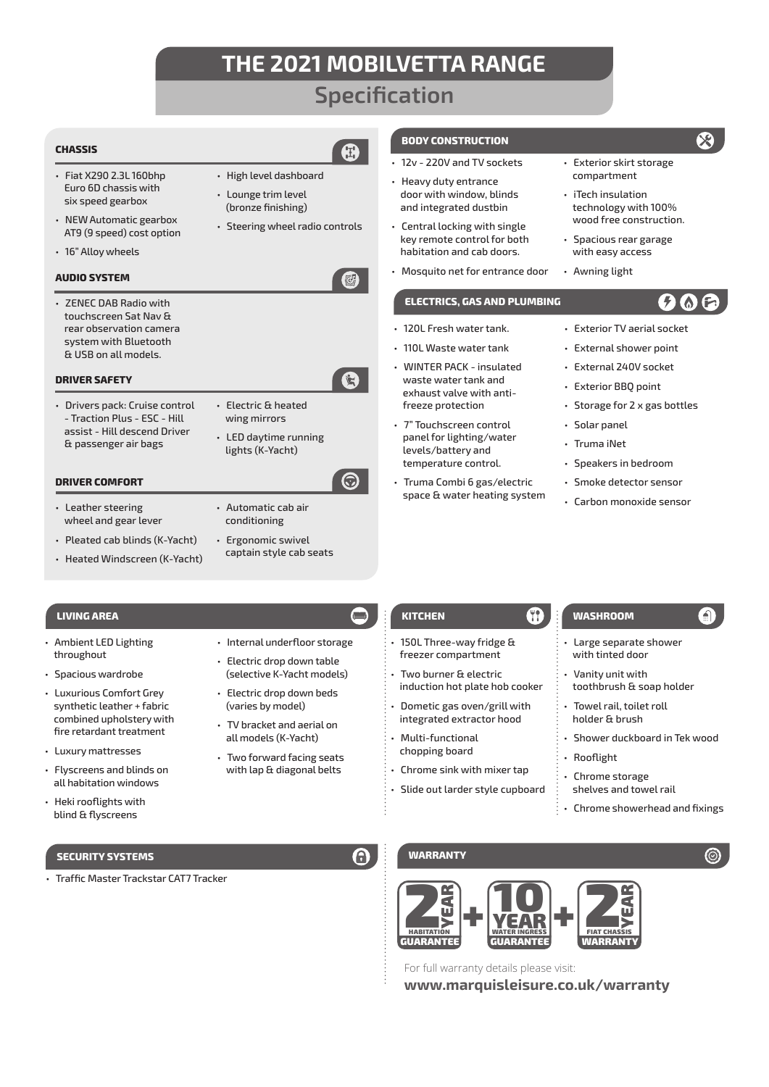## **Specification**

A

Q

ධ

## **CHASSIS**

- Fiat X290 2.3L 160bhp Euro 6D chassis with six speed gearbox
- NEW Automatic gearbox AT9 (9 speed) cost option
- 16" Alloy wheels

## **AUDIO SYSTEM**

• ZENEC DAB Radio with touchscreen Sat Nav & rear observation camera system with Bluetooth & USB on all models.

## **DRIVER SAFETY**

- Drivers pack: Cruise control - Traction Plus - ESC - Hill assist - Hill descend Driver & passenger air bags
- Electric & heated wing mirrors

• High level dashboard • Lounge trim level (bronze finishing)

• Steering wheel radio controls

• LED daytime running lights (K-Yacht)

## **DRIVER COMFORT**

- Leather steering wheel and gear lever
- Pleated cab blinds (K-Yacht) • Heated Windscreen (K-Yacht)
- Automatic cab air conditioning
- Ergonomic swivel captain style cab seats

• Internal underfloor storage • Electric drop down table (selective K-Yacht models) • Electric drop down beds (varies by model) • TV bracket and aerial on all models (K-Yacht) • Two forward facing seats with lap & diagonal belts

- Ambient LED Lighting throughout
- Spacious wardrobe
- Luxurious Comfort Grey synthetic leather + fabric combined upholstery with fire retardant treatment
- Luxury mattresses
- Flyscreens and blinds on all habitation windows
- Heki rooflights with blind & flyscreens

## **SECURITY SYSTEMS WARRANTY**

• Traffic Master Trackstar CAT7 Tracker

## **LIVING AREA KITCHEN WASHROOM**

• 150L Three-way fridge & freezer compartment

• Two burner & electric induction hot plate hob cooker

- Dometic gas oven/grill with integrated extractor hood
- Multi-functional chopping board
- Chrome sink with mixer tap
- Slide out larder style cupboard
- 
- Large separate shower with tinted door
- Vanity unit with toothbrush & soap holder
- holder & brush
- Shower duckboard in Tek wood
- 
- shelves and towel rail
- Chrome showerhead and fixings



For full warranty details please visit:

**www.marquisleisure.co.uk/warranty**

- **BODY CONSTRUCTION**
- 12v 220V and TV sockets
- Heavy duty entrance door with window, blinds and integrated dustbin
- Central locking with single key remote control for both habitation and cab doors.
- Mosquito net for entrance door

## **ELECTRICS, GAS AND PLUMBING**

- 120L Fresh water tank.
- 110L Waste water tank
- WINTER PACK insulated waste water tank and exhaust valve with antifreeze protection
- 7" Touchscreen control panel for lighting/water levels/battery and temperature control.
- Truma Combi 6 gas/electric space & water heating system
- Exterior TV aerial socket
- External shower point
- External 240V socket
- Exterior BBQ point
- Storage for 2 x gas bottles
- Solar panel
- Truma iNet
- Speakers in bedroom
- Smoke detector sensor
- Carbon monoxide sensor
- 

- 
- Towel rail, toilet roll
- 
- Rooflight
- Chrome storage
- 



- iTech insulation technology with 100% wood free construction.
- Spacious rear garage with easy access
- Awning light

**OF** 

 $\Omega$ 

 $\chi$